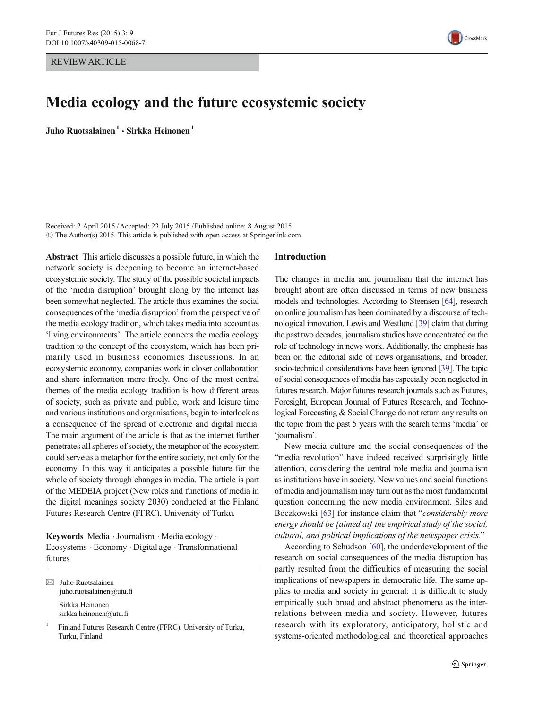REVIEW ARTICLE



# Media ecology and the future ecosystemic society

Juho Ruotsalainen $<sup>1</sup> \cdot$  Sirkka Heinonen $<sup>1</sup>$ </sup></sup>

Received: 2 April 2015 /Accepted: 23 July 2015 /Published online: 8 August 2015  $\odot$  The Author(s) 2015. This article is published with open access at Springerlink.com

Abstract This article discusses a possible future, in which the network society is deepening to become an internet-based ecosystemic society. The study of the possible societal impacts of the 'media disruption' brought along by the internet has been somewhat neglected. The article thus examines the social consequences of the 'media disruption' from the perspective of the media ecology tradition, which takes media into account as 'living environments'. The article connects the media ecology tradition to the concept of the ecosystem, which has been primarily used in business economics discussions. In an ecosystemic economy, companies work in closer collaboration and share information more freely. One of the most central themes of the media ecology tradition is how different areas of society, such as private and public, work and leisure time and various institutions and organisations, begin to interlock as a consequence of the spread of electronic and digital media. The main argument of the article is that as the internet further penetrates all spheres of society, the metaphor of the ecosystem could serve as a metaphor for the entire society, not only for the economy. In this way it anticipates a possible future for the whole of society through changes in media. The article is part of the MEDEIA project (New roles and functions of media in the digital meanings society 2030) conducted at the Finland Futures Research Centre (FFRC), University of Turku.

Keywords Media . Journalism . Media ecology . Ecosystems . Economy . Digital age . Transformational futures

 $\boxtimes$  Juho Ruotsalainen juho.ruotsalainen@utu.fi Sirkka Heinonen sirkka.heinonen@utu.fi

<sup>1</sup> Finland Futures Research Centre (FFRC), University of Turku, Turku, Finland

#### Introduction

The changes in media and journalism that the internet has brought about are often discussed in terms of new business models and technologies. According to Steensen [\[64](#page-9-0)], research on online journalism has been dominated by a discourse of technological innovation. Lewis and Westlund [\[39](#page-9-0)] claim that during the past two decades, journalism studies have concentrated on the role of technology in news work. Additionally, the emphasis has been on the editorial side of news organisations, and broader, socio-technical considerations have been ignored [\[39](#page-9-0)]. The topic of social consequences of media has especially been neglected in futures research. Major futures research journals such as Futures, Foresight, European Journal of Futures Research, and Technological Forecasting & Social Change do not return any results on the topic from the past 5 years with the search terms 'media' or 'journalism'.

New media culture and the social consequences of the "media revolution" have indeed received surprisingly little attention, considering the central role media and journalism as institutions have in society. New values and social functions of media and journalism may turn out as the most fundamental question concerning the new media environment. Siles and Boczkowski [\[63](#page-9-0)] for instance claim that "considerably more energy should be [aimed at] the empirical study of the social, cultural, and political implications of the newspaper crisis."

According to Schudson [[60\]](#page-9-0), the underdevelopment of the research on social consequences of the media disruption has partly resulted from the difficulties of measuring the social implications of newspapers in democratic life. The same applies to media and society in general: it is difficult to study empirically such broad and abstract phenomena as the interrelations between media and society. However, futures research with its exploratory, anticipatory, holistic and systems-oriented methodological and theoretical approaches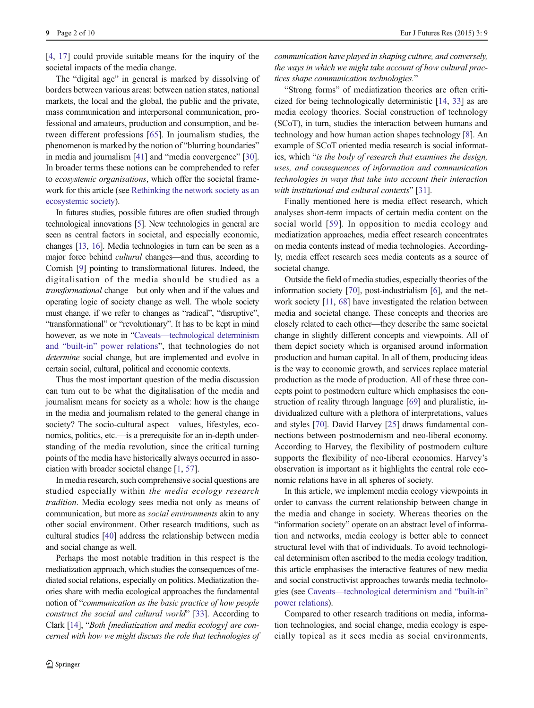9 Page 2 of 10 Eur J Futures Res (2015) 3: 9

[\[4](#page-8-0), [17](#page-8-0)] could provide suitable means for the inquiry of the societal impacts of the media change.

The "digital age" in general is marked by dissolving of borders between various areas: between nation states, national markets, the local and the global, the public and the private, mass communication and interpersonal communication, professional and amateurs, production and consumption, and between different professions [[65\]](#page-9-0). In journalism studies, the phenomenon is marked by the notion of "blurring boundaries" in media and journalism [[41](#page-9-0)] and "media convergence" [[30\]](#page-8-0). In broader terms these notions can be comprehended to refer to ecosystemic organisations, which offer the societal framework for this article (see [Rethinking the network society as an](#page-5-0) [ecosystemic society](#page-5-0)).

In futures studies, possible futures are often studied through technological innovations [\[5\]](#page-8-0). New technologies in general are seen as central factors in societal, and especially economic, changes [\[13,](#page-8-0) [16\]](#page-8-0). Media technologies in turn can be seen as a major force behind *cultural* changes—and thus, according to Cornish [\[9](#page-8-0)] pointing to transformational futures. Indeed, the digitalisation of the media should be studied as a transformational change—but only when and if the values and operating logic of society change as well. The whole society must change, if we refer to changes as "radical", "disruptive", "transformational" or "revolutionary". It has to be kept in mind however, as we note in "Caveats—[technological determinism](#page-4-0) and "built-in" [power relations](#page-4-0)", that technologies do not determine social change, but are implemented and evolve in certain social, cultural, political and economic contexts.

Thus the most important question of the media discussion can turn out to be what the digitalisation of the media and journalism means for society as a whole: how is the change in the media and journalism related to the general change in society? The socio-cultural aspect—values, lifestyles, economics, politics, etc.—is a prerequisite for an in-depth understanding of the media revolution, since the critical turning points of the media have historically always occurred in association with broader societal change [\[1,](#page-8-0) [57\]](#page-9-0).

In media research, such comprehensive social questions are studied especially within the media ecology research tradition. Media ecology sees media not only as means of communication, but more as social environments akin to any other social environment. Other research traditions, such as cultural studies [\[40\]](#page-9-0) address the relationship between media and social change as well.

Perhaps the most notable tradition in this respect is the mediatization approach, which studies the consequences of mediated social relations, especially on politics. Mediatization theories share with media ecological approaches the fundamental notion of "communication as the basic practice of how people construct the social and cultural world" [\[33](#page-8-0)]. According to Clark [[14](#page-8-0)], "Both [mediatization and media ecology] are concerned with how we might discuss the role that technologies of communication have played in shaping culture, and conversely, the ways in which we might take account of how cultural practices shape communication technologies."

"Strong forms" of mediatization theories are often criticized for being technologically deterministic [\[14,](#page-8-0) [33](#page-8-0)] as are media ecology theories. Social construction of technology (SCoT), in turn, studies the interaction between humans and technology and how human action shapes technology [\[8](#page-8-0)]. An example of SCoT oriented media research is social informatics, which "is the body of research that examines the design, uses, and consequences of information and communication technologies in ways that take into account their interaction with institutional and cultural contexts" [[31\]](#page-8-0).

Finally mentioned here is media effect research, which analyses short-term impacts of certain media content on the social world [[59\]](#page-9-0). In opposition to media ecology and mediatization approaches, media effect research concentrates on media contents instead of media technologies. Accordingly, media effect research sees media contents as a source of societal change.

Outside the field of media studies, especially theories of the information society [[70](#page-9-0)], post-industrialism [\[6](#page-8-0)], and the network society [[11](#page-8-0), [68](#page-9-0)] have investigated the relation between media and societal change. These concepts and theories are closely related to each other—they describe the same societal change in slightly different concepts and viewpoints. All of them depict society which is organised around information production and human capital. In all of them, producing ideas is the way to economic growth, and services replace material production as the mode of production. All of these three concepts point to postmodern culture which emphasises the construction of reality through language [\[69](#page-9-0)] and pluralistic, individualized culture with a plethora of interpretations, values and styles [[70\]](#page-9-0). David Harvey [[25](#page-8-0)] draws fundamental connections between postmodernism and neo-liberal economy. According to Harvey, the flexibility of postmodern culture supports the flexibility of neo-liberal economies. Harvey's observation is important as it highlights the central role economic relations have in all spheres of society.

In this article, we implement media ecology viewpoints in order to canvass the current relationship between change in the media and change in society. Whereas theories on the "information society" operate on an abstract level of information and networks, media ecology is better able to connect structural level with that of individuals. To avoid technological determinism often ascribed to the media ecology tradition, this article emphasises the interactive features of new media and social constructivist approaches towards media technologies (see Caveats—[technological determinism and](#page-4-0) "built-in" [power relations](#page-4-0)).

Compared to other research traditions on media, information technologies, and social change, media ecology is especially topical as it sees media as social environments,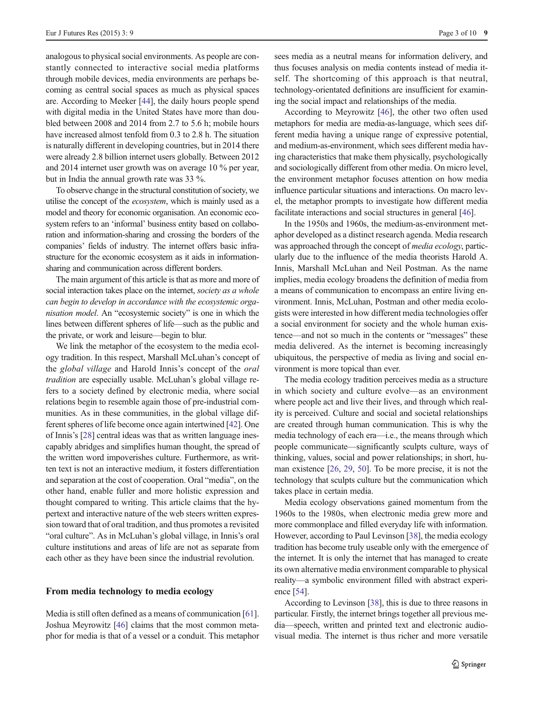analogous to physical social environments. As people are constantly connected to interactive social media platforms through mobile devices, media environments are perhaps becoming as central social spaces as much as physical spaces are. According to Meeker [\[44\]](#page-9-0), the daily hours people spend with digital media in the United States have more than doubled between 2008 and 2014 from 2.7 to 5.6 h; mobile hours have increased almost tenfold from 0.3 to 2.8 h. The situation is naturally different in developing countries, but in 2014 there were already 2.8 billion internet users globally. Between 2012 and 2014 internet user growth was on average 10 % per year, but in India the annual growth rate was 33 %.

To observe change in the structural constitution of society, we utilise the concept of the ecosystem, which is mainly used as a model and theory for economic organisation. An economic ecosystem refers to an 'informal' business entity based on collaboration and information-sharing and crossing the borders of the companies' fields of industry. The internet offers basic infrastructure for the economic ecosystem as it aids in informationsharing and communication across different borders.

The main argument of this article is that as more and more of social interaction takes place on the internet, society as a whole can begin to develop in accordance with the ecosystemic organisation model. An "ecosystemic society" is one in which the lines between different spheres of life—such as the public and the private, or work and leisure—begin to blur.

We link the metaphor of the ecosystem to the media ecology tradition. In this respect, Marshall McLuhan's concept of the global village and Harold Innis's concept of the oral tradition are especially usable. McLuhan's global village refers to a society defined by electronic media, where social relations begin to resemble again those of pre-industrial communities. As in these communities, in the global village different spheres of life become once again intertwined [\[42](#page-9-0)]. One of Innis's [[28](#page-8-0)] central ideas was that as written language inescapably abridges and simplifies human thought, the spread of the written word impoverishes culture. Furthermore, as written text is not an interactive medium, it fosters differentiation and separation at the cost of cooperation. Oral "media", on the other hand, enable fuller and more holistic expression and thought compared to writing. This article claims that the hypertext and interactive nature of the web steers written expression toward that of oral tradition, and thus promotes a revisited "oral culture". As in McLuhan's global village, in Innis's oral culture institutions and areas of life are not as separate from each other as they have been since the industrial revolution.

#### From media technology to media ecology

Media is still often defined as a means of communication [[61\]](#page-9-0). Joshua Meyrowitz [[46\]](#page-9-0) claims that the most common metaphor for media is that of a vessel or a conduit. This metaphor sees media as a neutral means for information delivery, and thus focuses analysis on media contents instead of media itself. The shortcoming of this approach is that neutral, technology-orientated definitions are insufficient for examining the social impact and relationships of the media.

According to Meyrowitz [\[46](#page-9-0)], the other two often used metaphors for media are media-as-language, which sees different media having a unique range of expressive potential, and medium-as-environment, which sees different media having characteristics that make them physically, psychologically and sociologically different from other media. On micro level, the environment metaphor focuses attention on how media influence particular situations and interactions. On macro level, the metaphor prompts to investigate how different media facilitate interactions and social structures in general [[46](#page-9-0)].

In the 1950s and 1960s, the medium-as-environment metaphor developed as a distinct research agenda. Media research was approached through the concept of media ecology, particularly due to the influence of the media theorists Harold A. Innis, Marshall McLuhan and Neil Postman. As the name implies, media ecology broadens the definition of media from a means of communication to encompass an entire living environment. Innis, McLuhan, Postman and other media ecologists were interested in how different media technologies offer a social environment for society and the whole human existence—and not so much in the contents or "messages" these media delivered. As the internet is becoming increasingly ubiquitous, the perspective of media as living and social environment is more topical than ever.

The media ecology tradition perceives media as a structure in which society and culture evolve—as an environment where people act and live their lives, and through which reality is perceived. Culture and social and societal relationships are created through human communication. This is why the media technology of each era—i.e., the means through which people communicate—significantly sculpts culture, ways of thinking, values, social and power relationships; in short, human existence [\[26,](#page-8-0) [29](#page-8-0), [50\]](#page-9-0). To be more precise, it is not the technology that sculpts culture but the communication which takes place in certain media.

Media ecology observations gained momentum from the 1960s to the 1980s, when electronic media grew more and more commonplace and filled everyday life with information. However, according to Paul Levinson [\[38](#page-9-0)], the media ecology tradition has become truly useable only with the emergence of the internet. It is only the internet that has managed to create its own alternative media environment comparable to physical reality—a symbolic environment filled with abstract experience [[54](#page-9-0)].

According to Levinson [\[38\]](#page-9-0), this is due to three reasons in particular. Firstly, the internet brings together all previous media—speech, written and printed text and electronic audiovisual media. The internet is thus richer and more versatile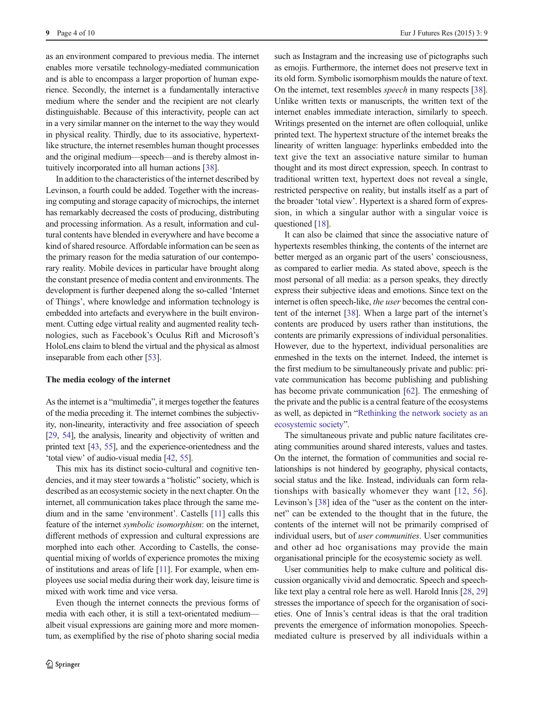as an environment compared to previous media. The internet enables more versatile technology-mediated communication and is able to encompass a larger proportion of human experience. Secondly, the internet is a fundamentally interactive medium where the sender and the recipient are not clearly distinguishable. Because of this interactivity, people can act in a very similar manner on the internet to the way they would in physical reality. Thirdly, due to its associative, hypertextlike structure, the internet resembles human thought processes and the original medium—speech—and is thereby almost intuitively incorporated into all human actions [\[38](#page-9-0)].

In addition to the characteristics of the internet described by Levinson, a fourth could be added. Together with the increasing computing and storage capacity of microchips, the internet has remarkably decreased the costs of producing, distributing and processing information. As a result, information and cultural contents have blended in everywhere and have become a kind of shared resource. Affordable information can be seen as the primary reason for the media saturation of our contemporary reality. Mobile devices in particular have brought along the constant presence of media content and environments. The development is further deepened along the so-called 'Internet of Things', where knowledge and information technology is embedded into artefacts and everywhere in the built environment. Cutting edge virtual reality and augmented reality technologies, such as Facebook's Oculus Rift and Microsoft's HoloLens claim to blend the virtual and the physical as almost inseparable from each other [[53\]](#page-9-0).

### The media ecology of the internet

As the internet is a "multimedia", it merges together the features of the media preceding it. The internet combines the subjectivity, non-linearity, interactivity and free association of speech [\[29,](#page-8-0) [54\]](#page-9-0), the analysis, linearity and objectivity of written and printed text [\[43,](#page-9-0) [55\]](#page-9-0), and the experience-orientedness and the 'total view' of audio-visual media [\[42](#page-9-0), [55](#page-9-0)].

This mix has its distinct socio-cultural and cognitive tendencies, and it may steer towards a "holistic" society, which is described as an ecosystemic society in the next chapter. On the internet, all communication takes place through the same medium and in the same 'environment'. Castells [\[11\]](#page-8-0) calls this feature of the internet symbolic isomorphism: on the internet, different methods of expression and cultural expressions are morphed into each other. According to Castells, the consequential mixing of worlds of experience promotes the mixing of institutions and areas of life [\[11\]](#page-8-0). For example, when employees use social media during their work day, leisure time is mixed with work time and vice versa.

Even though the internet connects the previous forms of media with each other, it is still a text-orientated medium albeit visual expressions are gaining more and more momentum, as exemplified by the rise of photo sharing social media

such as Instagram and the increasing use of pictographs such as emojis. Furthermore, the internet does not preserve text in its old form. Symbolic isomorphism moulds the nature of text. On the internet, text resembles speech in many respects [[38\]](#page-9-0). Unlike written texts or manuscripts, the written text of the internet enables immediate interaction, similarly to speech. Writings presented on the internet are often colloquial, unlike printed text. The hypertext structure of the internet breaks the linearity of written language: hyperlinks embedded into the text give the text an associative nature similar to human thought and its most direct expression, speech. In contrast to traditional written text, hypertext does not reveal a single, restricted perspective on reality, but installs itself as a part of the broader 'total view'. Hypertext is a shared form of expression, in which a singular author with a singular voice is questioned [[18\]](#page-8-0).

It can also be claimed that since the associative nature of hypertexts resembles thinking, the contents of the internet are better merged as an organic part of the users' consciousness, as compared to earlier media. As stated above, speech is the most personal of all media: as a person speaks, they directly express their subjective ideas and emotions. Since text on the internet is often speech-like, the user becomes the central content of the internet [\[38\]](#page-9-0). When a large part of the internet's contents are produced by users rather than institutions, the contents are primarily expressions of individual personalities. However, due to the hypertext, individual personalities are enmeshed in the texts on the internet. Indeed, the internet is the first medium to be simultaneously private and public: private communication has become publishing and publishing has become private communication [\[62](#page-9-0)]. The enmeshing of the private and the public is a central feature of the ecosystems as well, as depicted in "[Rethinking the network society as an](#page-5-0) [ecosystemic society](#page-5-0)".

The simultaneous private and public nature facilitates creating communities around shared interests, values and tastes. On the internet, the formation of communities and social relationships is not hindered by geography, physical contacts, social status and the like. Instead, individuals can form relationships with basically whomever they want [\[12,](#page-8-0) [56](#page-9-0)]. Levinson's [[38\]](#page-9-0) idea of the "user as the content on the internet" can be extended to the thought that in the future, the contents of the internet will not be primarily comprised of individual users, but of user communities. User communities and other ad hoc organisations may provide the main organisational principle for the ecosystemic society as well.

User communities help to make culture and political discussion organically vivid and democratic. Speech and speechlike text play a central role here as well. Harold Innis [[28](#page-8-0), [29](#page-8-0)] stresses the importance of speech for the organisation of societies. One of Innis's central ideas is that the oral tradition prevents the emergence of information monopolies. Speechmediated culture is preserved by all individuals within a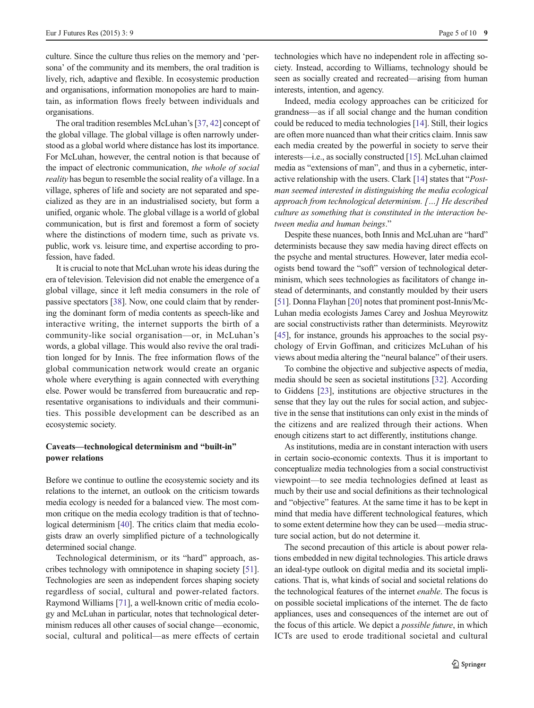<span id="page-4-0"></span>culture. Since the culture thus relies on the memory and 'persona' of the community and its members, the oral tradition is lively, rich, adaptive and flexible. In ecosystemic production and organisations, information monopolies are hard to maintain, as information flows freely between individuals and organisations.

The oral tradition resembles McLuhan's [\[37,](#page-9-0) [42](#page-9-0)] concept of the global village. The global village is often narrowly understood as a global world where distance has lost its importance. For McLuhan, however, the central notion is that because of the impact of electronic communication, the whole of social reality has begun to resemble the social reality of a village. In a village, spheres of life and society are not separated and specialized as they are in an industrialised society, but form a unified, organic whole. The global village is a world of global communication, but is first and foremost a form of society where the distinctions of modern time, such as private vs. public, work vs. leisure time, and expertise according to profession, have faded.

It is crucial to note that McLuhan wrote his ideas during the era of television. Television did not enable the emergence of a global village, since it left media consumers in the role of passive spectators [\[38\]](#page-9-0). Now, one could claim that by rendering the dominant form of media contents as speech-like and interactive writing, the internet supports the birth of a community-like social organisation—or, in McLuhan's words, a global village. This would also revive the oral tradition longed for by Innis. The free information flows of the global communication network would create an organic whole where everything is again connected with everything else. Power would be transferred from bureaucratic and representative organisations to individuals and their communities. This possible development can be described as an ecosystemic society.

## Caveats—technological determinism and "built-in" power relations

Before we continue to outline the ecosystemic society and its relations to the internet, an outlook on the criticism towards media ecology is needed for a balanced view. The most common critique on the media ecology tradition is that of techno-logical determinism [\[40](#page-9-0)]. The critics claim that media ecologists draw an overly simplified picture of a technologically determined social change.

Technological determinism, or its "hard" approach, ascribes technology with omnipotence in shaping society [[51\]](#page-9-0). Technologies are seen as independent forces shaping society regardless of social, cultural and power-related factors. Raymond Williams [\[71](#page-9-0)], a well-known critic of media ecology and McLuhan in particular, notes that technological determinism reduces all other causes of social change—economic, social, cultural and political—as mere effects of certain technologies which have no independent role in affecting society. Instead, according to Williams, technology should be seen as socially created and recreated—arising from human interests, intention, and agency.

Indeed, media ecology approaches can be criticized for grandness—as if all social change and the human condition could be reduced to media technologies [[14](#page-8-0)]. Still, their logics are often more nuanced than what their critics claim. Innis saw each media created by the powerful in society to serve their interests—i.e., as socially constructed [\[15\]](#page-8-0). McLuhan claimed media as "extensions of man", and thus in a cybernetic, interactive relationship with the users. Clark [\[14\]](#page-8-0) states that "Postman seemed interested in distinguishing the media ecological approach from technological determinism. […] He described culture as something that is constituted in the interaction between media and human beings."

Despite these nuances, both Innis and McLuhan are "hard" determinists because they saw media having direct effects on the psyche and mental structures. However, later media ecologists bend toward the "soft" version of technological determinism, which sees technologies as facilitators of change instead of determinants, and constantly moulded by their users [\[51](#page-9-0)]. Donna Flayhan [\[20\]](#page-8-0) notes that prominent post-Innis/Mc-Luhan media ecologists James Carey and Joshua Meyrowitz are social constructivists rather than determinists. Meyrowitz [\[45](#page-9-0)], for instance, grounds his approaches to the social psychology of Ervin Goffman, and criticizes McLuhan of his views about media altering the "neural balance" of their users.

To combine the objective and subjective aspects of media, media should be seen as societal institutions [\[32\]](#page-8-0). According to Giddens [\[23](#page-8-0)], institutions are objective structures in the sense that they lay out the rules for social action, and subjective in the sense that institutions can only exist in the minds of the citizens and are realized through their actions. When enough citizens start to act differently, institutions change.

As institutions, media are in constant interaction with users in certain socio-economic contexts. Thus it is important to conceptualize media technologies from a social constructivist viewpoint—to see media technologies defined at least as much by their use and social definitions as their technological and "objective" features. At the same time it has to be kept in mind that media have different technological features, which to some extent determine how they can be used—media structure social action, but do not determine it.

The second precaution of this article is about power relations embedded in new digital technologies. This article draws an ideal-type outlook on digital media and its societal implications. That is, what kinds of social and societal relations do the technological features of the internet enable. The focus is on possible societal implications of the internet. The de facto appliances, uses and consequences of the internet are out of the focus of this article. We depict a possible future, in which ICTs are used to erode traditional societal and cultural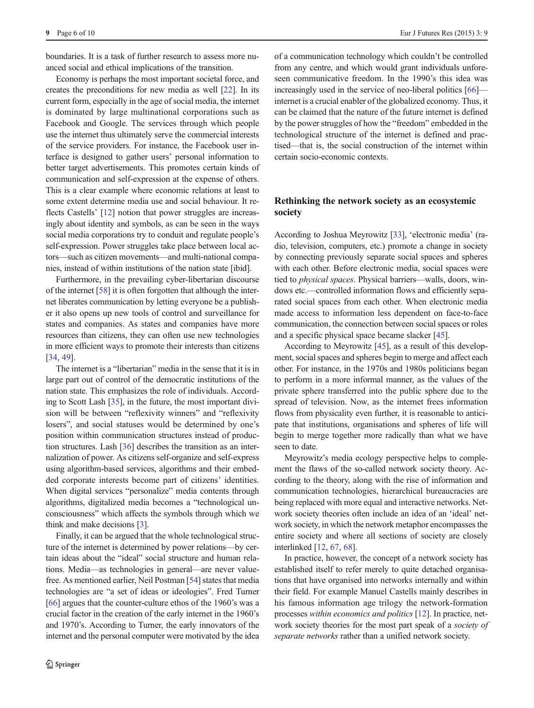<span id="page-5-0"></span>boundaries. It is a task of further research to assess more nuanced social and ethical implications of the transition.

Economy is perhaps the most important societal force, and creates the preconditions for new media as well [[22](#page-8-0)]. In its current form, especially in the age of social media, the internet is dominated by large multinational corporations such as Facebook and Google. The services through which people use the internet thus ultimately serve the commercial interests of the service providers. For instance, the Facebook user interface is designed to gather users' personal information to better target advertisements. This promotes certain kinds of communication and self-expression at the expense of others. This is a clear example where economic relations at least to some extent determine media use and social behaviour. It re-flects Castells' [\[12](#page-8-0)] notion that power struggles are increasingly about identity and symbols, as can be seen in the ways social media corporations try to conduit and regulate people's self-expression. Power struggles take place between local actors—such as citizen movements—and multi-national companies, instead of within institutions of the nation state [ibid].

Furthermore, in the prevailing cyber-libertarian discourse of the internet [\[58](#page-9-0)] it is often forgotten that although the internet liberates communication by letting everyone be a publisher it also opens up new tools of control and surveillance for states and companies. As states and companies have more resources than citizens, they can often use new technologies in more efficient ways to promote their interests than citizens [\[34,](#page-8-0) [49\]](#page-9-0).

The internet is a "libertarian" media in the sense that it is in large part out of control of the democratic institutions of the nation state. This emphasizes the role of individuals. According to Scott Lash [[35](#page-8-0)], in the future, the most important division will be between "reflexivity winners" and "reflexivity losers", and social statuses would be determined by one's position within communication structures instead of production structures. Lash [[36](#page-8-0)] describes the transition as an internalization of power. As citizens self-organize and self-express using algorithm-based services, algorithms and their embedded corporate interests become part of citizens' identities. When digital services "personalize" media contents through algorithms, digitalized media becomes a "technological unconsciousness" which affects the symbols through which we think and make decisions [[3\]](#page-8-0).

Finally, it can be argued that the whole technological structure of the internet is determined by power relations—by certain ideas about the "ideal" social structure and human relations. Media—as technologies in general—are never value-free. As mentioned earlier, Neil Postman [\[54\]](#page-9-0) states that media technologies are "a set of ideas or ideologies". Fred Turner [\[66\]](#page-9-0) argues that the counter-culture ethos of the 1960's was a crucial factor in the creation of the early internet in the 1960's and 1970's. According to Turner, the early innovators of the internet and the personal computer were motivated by the idea of a communication technology which couldn't be controlled from any centre, and which would grant individuals unforeseen communicative freedom. In the 1990's this idea was increasingly used in the service of neo-liberal politics [\[66](#page-9-0)] internet is a crucial enabler of the globalized economy. Thus, it can be claimed that the nature of the future internet is defined by the power struggles of how the "freedom" embedded in the technological structure of the internet is defined and practised—that is, the social construction of the internet within certain socio-economic contexts.

# Rethinking the network society as an ecosystemic society

According to Joshua Meyrowitz [[33](#page-8-0)], 'electronic media' (radio, television, computers, etc.) promote a change in society by connecting previously separate social spaces and spheres with each other. Before electronic media, social spaces were tied to physical spaces. Physical barriers—walls, doors, windows etc.—controlled information flows and efficiently separated social spaces from each other. When electronic media made access to information less dependent on face-to-face communication, the connection between social spaces or roles and a specific physical space became slacker [[45](#page-9-0)].

According to Meyrowitz [[45\]](#page-9-0), as a result of this development, social spaces and spheres begin to merge and affect each other. For instance, in the 1970s and 1980s politicians began to perform in a more informal manner, as the values of the private sphere transferred into the public sphere due to the spread of television. Now, as the internet frees information flows from physicality even further, it is reasonable to anticipate that institutions, organisations and spheres of life will begin to merge together more radically than what we have seen to date.

Meyrowitz's media ecology perspective helps to complement the flaws of the so-called network society theory. According to the theory, along with the rise of information and communication technologies, hierarchical bureaucracies are being replaced with more equal and interactive networks. Network society theories often include an idea of an 'ideal' network society, in which the network metaphor encompasses the entire society and where all sections of society are closely interlinked [[12](#page-8-0), [67](#page-9-0), [68](#page-9-0)].

In practice, however, the concept of a network society has established itself to refer merely to quite detached organisations that have organised into networks internally and within their field. For example Manuel Castells mainly describes in his famous information age trilogy the network-formation processes within economics and politics [\[12\]](#page-8-0). In practice, network society theories for the most part speak of a society of separate networks rather than a unified network society.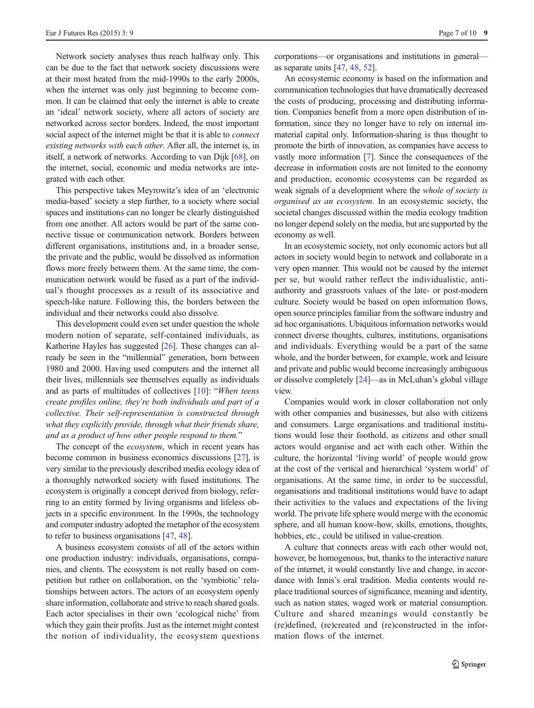Network society analyses thus reach halfway only. This can be due to the fact that network society discussions were at their most heated from the mid-1990s to the early 2000s, when the internet was only just beginning to become common. It can be claimed that only the internet is able to create an 'ideal' network society, where all actors of society are networked across sector borders. Indeed, the most important social aspect of the internet might be that it is able to *connect* existing networks with each other. After all, the internet is, in itself, a network of networks. According to van Dijk [\[68](#page-9-0)], on the internet, social, economic and media networks are integrated with each other.

This perspective takes Meyrowitz's idea of an 'electronic media-based' society a step further, to a society where social spaces and institutions can no longer be clearly distinguished from one another. All actors would be part of the same connective tissue or communication network. Borders between different organisations, institutions and, in a broader sense, the private and the public, would be dissolved as information flows more freely between them. At the same time, the communication network would be fused as a part of the individual's thought processes as a result of its associative and speech-like nature. Following this, the borders between the individual and their networks could also dissolve.

This development could even set under question the whole modern notion of separate, self-contained individuals, as Katherine Hayles has suggested [\[26\]](#page-8-0). These changes can already be seen in the "millennial" generation, born between 1980 and 2000. Having used computers and the internet all their lives, millennials see themselves equally as individuals and as parts of multitudes of collectives [[10](#page-8-0)]: "When teens create profiles online, they're both individuals and part of a collective. Their self-representation is constructed through what they explicitly provide, through what their friends share, and as a product of how other people respond to them."

The concept of the *ecosystem*, which in recent years has become common in business economics discussions [\[27\]](#page-8-0), is very similar to the previously described media ecology idea of a thoroughly networked society with fused institutions. The ecosystem is originally a concept derived from biology, referring to an entity formed by living organisms and lifeless objects in a specific environment. In the 1990s, the technology and computer industry adopted the metaphor of the ecosystem to refer to business organisations [[47](#page-9-0), [48](#page-9-0)].

A business ecosystem consists of all of the actors within one production industry: individuals, organisations, companies, and clients. The ecosystem is not really based on competition but rather on collaboration, on the 'symbiotic' relationships between actors. The actors of an ecosystem openly share information, collaborate and strive to reach shared goals. Each actor specialises in their own 'ecological niche' from which they gain their profits. Just as the internet might contest the notion of individuality, the ecosystem questions corporations—or organisations and institutions in general as separate units [[47](#page-9-0), [48](#page-9-0), [52](#page-9-0)].

An ecosystemic economy is based on the information and communication technologies that have dramatically decreased the costs of producing, processing and distributing information. Companies benefit from a more open distribution of information, since they no longer have to rely on internal immaterial capital only. Information-sharing is thus thought to promote the birth of innovation, as companies have access to vastly more information [[7\]](#page-8-0). Since the consequences of the decrease in information costs are not limited to the economy and production, economic ecosystems can be regarded as weak signals of a development where the *whole of society is* organised as an ecosystem. In an ecosystemic society, the societal changes discussed within the media ecology tradition no longer depend solely on the media, but are supported by the economy as well.

In an ecosystemic society, not only economic actors but all actors in society would begin to network and collaborate in a very open manner. This would not be caused by the internet per se, but would rather reflect the individualistic, antiauthority and grassroots values of the late- or post-modern culture. Society would be based on open information flows, open source principles familiar from the software industry and ad hoc organisations. Ubiquitous information networks would connect diverse thoughts, cultures, institutions, organisations and individuals. Everything would be a part of the same whole, and the border between, for example, work and leisure and private and public would become increasingly ambiguous or dissolve completely [\[24\]](#page-8-0)—as in McLuhan's global village view.

Companies would work in closer collaboration not only with other companies and businesses, but also with citizens and consumers. Large organisations and traditional institutions would lose their foothold, as citizens and other small actors would organise and act with each other. Within the culture, the horizontal 'living world' of people would grow at the cost of the vertical and hierarchical 'system world' of organisations. At the same time, in order to be successful, organisations and traditional institutions would have to adapt their activities to the values and expectations of the living world. The private life sphere would merge with the economic sphere, and all human know-how, skills, emotions, thoughts, hobbies, etc., could be utilised in value-creation.

A culture that connects areas with each other would not, however, be homogenous, but, thanks to the interactive nature of the internet, it would constantly live and change, in accordance with Innis's oral tradition. Media contents would replace traditional sources of significance, meaning and identity, such as nation states, waged work or material consumption. Culture and shared meanings would constantly be (re)defined, (re)created and (re)constructed in the information flows of the internet.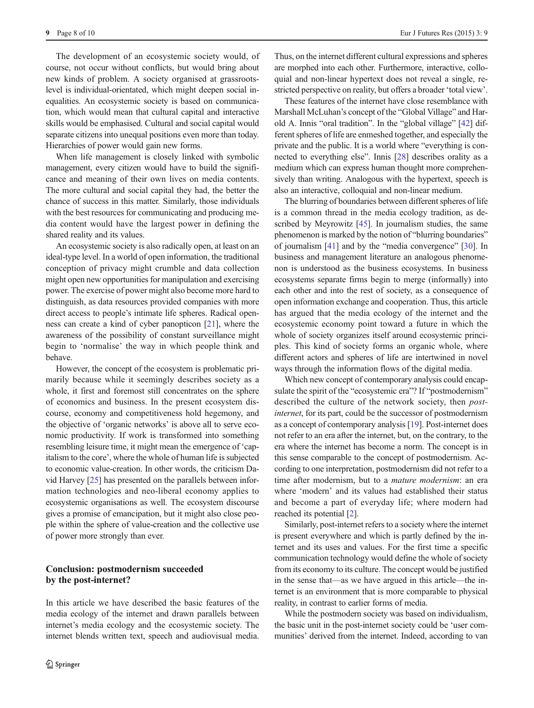The development of an ecosystemic society would, of course, not occur without conflicts, but would bring about new kinds of problem. A society organised at grassrootslevel is individual-orientated, which might deepen social inequalities. An ecosystemic society is based on communication, which would mean that cultural capital and interactive skills would be emphasised. Cultural and social capital would separate citizens into unequal positions even more than today. Hierarchies of power would gain new forms.

When life management is closely linked with symbolic management, every citizen would have to build the significance and meaning of their own lives on media contents. The more cultural and social capital they had, the better the chance of success in this matter. Similarly, those individuals with the best resources for communicating and producing media content would have the largest power in defining the shared reality and its values.

An ecosystemic society is also radically open, at least on an ideal-type level. In a world of open information, the traditional conception of privacy might crumble and data collection might open new opportunities for manipulation and exercising power. The exercise of power might also become more hard to distinguish, as data resources provided companies with more direct access to people's intimate life spheres. Radical openness can create a kind of cyber panopticon [[21\]](#page-8-0), where the awareness of the possibility of constant surveillance might begin to 'normalise' the way in which people think and behave.

However, the concept of the ecosystem is problematic primarily because while it seemingly describes society as a whole, it first and foremost still concentrates on the sphere of economics and business. In the present ecosystem discourse, economy and competitiveness hold hegemony, and the objective of 'organic networks' is above all to serve economic productivity. If work is transformed into something resembling leisure time, it might mean the emergence of 'capitalism to the core', where the whole of human life is subjected to economic value-creation. In other words, the criticism David Harvey [\[25](#page-8-0)] has presented on the parallels between information technologies and neo-liberal economy applies to ecosystemic organisations as well. The ecosystem discourse gives a promise of emancipation, but it might also close people within the sphere of value-creation and the collective use of power more strongly than ever.

## Conclusion: postmodernism succeeded by the post-internet?

In this article we have described the basic features of the media ecology of the internet and drawn parallels between internet's media ecology and the ecosystemic society. The internet blends written text, speech and audiovisual media.

Thus, on the internet different cultural expressions and spheres are morphed into each other. Furthermore, interactive, colloquial and non-linear hypertext does not reveal a single, restricted perspective on reality, but offers a broader 'total view'.

These features of the internet have close resemblance with Marshall McLuhan's concept of the "Global Village" and Harold A. Innis "oral tradition". In the "global village" [\[42](#page-9-0)] different spheres of life are enmeshed together, and especially the private and the public. It is a world where "everything is connected to everything else". Innis [\[28\]](#page-8-0) describes orality as a medium which can express human thought more comprehensively than writing. Analogous with the hypertext, speech is also an interactive, colloquial and non-linear medium.

The blurring of boundaries between different spheres of life is a common thread in the media ecology tradition, as described by Meyrowitz [\[45](#page-9-0)]. In journalism studies, the same phenomenon is marked by the notion of "blurring boundaries" of journalism [\[41\]](#page-9-0) and by the "media convergence" [[30](#page-8-0)]. In business and management literature an analogous phenomenon is understood as the business ecosystems. In business ecosystems separate firms begin to merge (informally) into each other and into the rest of society, as a consequence of open information exchange and cooperation. Thus, this article has argued that the media ecology of the internet and the ecosystemic economy point toward a future in which the whole of society organizes itself around ecosystemic principles. This kind of society forms an organic whole, where different actors and spheres of life are intertwined in novel ways through the information flows of the digital media.

Which new concept of contemporary analysis could encapsulate the spirit of the "ecosystemic era"? If "postmodernism" described the culture of the network society, then postinternet, for its part, could be the successor of postmodernism as a concept of contemporary analysis [[19](#page-8-0)]. Post-internet does not refer to an era after the internet, but, on the contrary, to the era where the internet has become a norm. The concept is in this sense comparable to the concept of postmodernism. According to one interpretation, postmodernism did not refer to a time after modernism, but to a mature modernism: an era where 'modern' and its values had established their status and become a part of everyday life; where modern had reached its potential [\[2\]](#page-8-0).

Similarly, post-internet refers to a society where the internet is present everywhere and which is partly defined by the internet and its uses and values. For the first time a specific communication technology would define the whole of society from its economy to its culture. The concept would be justified in the sense that—as we have argued in this article—the internet is an environment that is more comparable to physical reality, in contrast to earlier forms of media.

While the postmodern society was based on individualism, the basic unit in the post-internet society could be 'user communities' derived from the internet. Indeed, according to van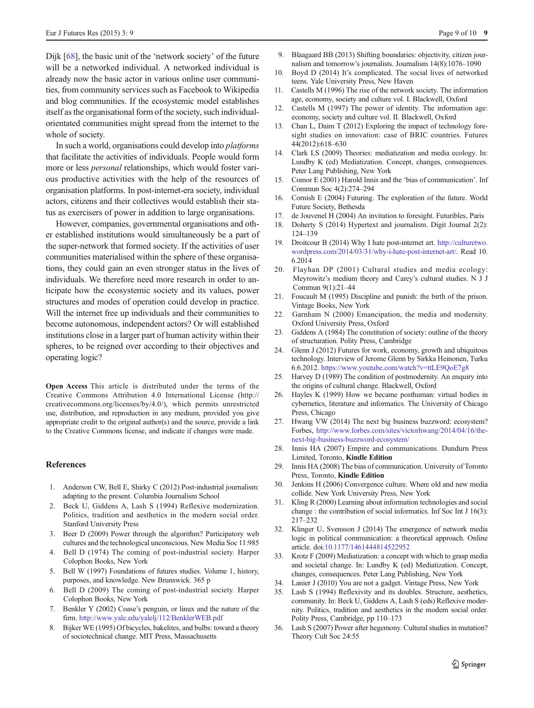<span id="page-8-0"></span>Dijk [[68\]](#page-9-0), the basic unit of the 'network society' of the future will be a networked individual. A networked individual is already now the basic actor in various online user communities, from community services such as Facebook to Wikipedia and blog communities. If the ecosystemic model establishes itself as the organisational form of the society, such individualorientated communities might spread from the internet to the whole of society.

In such a world, organisations could develop into platforms that facilitate the activities of individuals. People would form more or less personal relationships, which would foster various productive activities with the help of the resources of organisation platforms. In post-internet-era society, individual actors, citizens and their collectives would establish their status as exercisers of power in addition to large organisations.

However, companies, governmental organisations and other established institutions would simultaneously be a part of the super-network that formed society. If the activities of user communities materialised within the sphere of these organisations, they could gain an even stronger status in the lives of individuals. We therefore need more research in order to anticipate how the ecosystemic society and its values, power structures and modes of operation could develop in practice. Will the internet free up individuals and their communities to become autonomous, independent actors? Or will established institutions close in a larger part of human activity within their spheres, to be reigned over according to their objectives and operating logic?

Open Access This article is distributed under the terms of the Creative Commons Attribution 4.0 International License (http:// creativecommons.org/licenses/by/4.0/), which permits unrestricted use, distribution, and reproduction in any medium, provided you give appropriate credit to the original author(s) and the source, provide a link to the Creative Commons license, and indicate if changes were made.

#### **References**

- 1. Anderson CW, Bell E, Shirky C (2012) Post-industrial journalism: adapting to the present. Columbia Journalism School
- 2. Beck U, Giddens A, Lash S (1994) Reflexive modernization. Politics, tradition and aesthetics in the modern social order. Stanford University Press
- 3. Beer D (2009) Power through the algorithm? Participatory web cultures and the technological unconscious. New Media Soc 11:985
- 4. Bell D (1974) The coming of post-industrial society. Harper Colophon Books, New York
- 5. Bell W (1997) Foundations of futures studies. Volume 1, history, purposes, and knowledge. New Brunswick. 365 p
- 6. Bell D (2009) The coming of post-industrial society. Harper Colophon Books, New York
- 7. Benkler Y (2002) Coase's penguin, or linux and the nature of the firm. <http://www.yale.edu/yalelj/112/BenklerWEB.pdf>
- 8. Bijker WE (1995) Of bicycles, bakelites, and bulbs: toward a theory of sociotechnical change. MIT Press, Massachusetts
- 9. Blaagaard BB (2013) Shifting boundaries: objectivity, citizen journalism and tomorrow's journalists. Journalism 14(8):1076–1090
- 10. Boyd D (2014) It's complicated. The social lives of networked teens. Yale University Press, New Haven
- 11. Castells M (1996) The rise of the network society. The information age, economy, society and culture vol. I. Blackwell, Oxford
- 12. Castells M (1997) The power of identity. The information age: economy, society and culture vol. II. Blackwell, Oxford
- 13. Chan L, Daim T (2012) Exploring the impact of technology foresight studies on innovation: case of BRIC countries. Futures 44(2012):618–630
- 14. Clark LS (2009) Theories: mediatization and media ecology. In: Lundby K (ed) Mediatization. Concept, changes, consequences. Peter Lang Publishing, New York
- 15. Comor E (2001) Harold Innis and the 'bias of communication'. Inf Commun Soc 4(2):274–294
- 16. Cornish E (2004) Futuring. The exploration of the future. World Future Society, Bethesda
- 17. de Jouvenel H (2004) An invitation to foresight. Futuribles, Paris
- 18. Doherty S (2014) Hypertext and journalism. Digit Journal 2(2): 124–139
- 19. Droitcour B (2014) Why I hate post-internet art. [http://culturetwo.](http://culturetwo.wordpress.com/2014/03/31/why-i-hate-post-internet-art/) [wordpress.com/2014/03/31/why-i-hate-post-internet-art/](http://culturetwo.wordpress.com/2014/03/31/why-i-hate-post-internet-art/). Read 10. 6.2014
- 20. Flayhan DP (2001) Cultural studies and media ecology: Meyrowitz's medium theory and Carey's cultural studies. N J J Commun 9(1):21–44
- 21. Foucault M (1995) Discipline and punish: the birth of the prison. Vintage Books, New York
- 22. Garnham N (2000) Emancipation, the media and modernity. Oxford University Press, Oxford
- 23. Giddens A (1984) The constitution of society: outline of the theory of structuration. Polity Press, Cambridge
- 24. Glenn J (2012) Futures for work, economy, growth and ubiquitous technology. Interview of Jerome Glenn by Sirkka Heinonen, Turku 6.6.2012. <https://www.youtube.com/watch?v=ttLE9QoE7g8>
- 25. Harvey D (1989) The condition of postmodernity. An enquiry into the origins of cultural change. Blackwell, Oxford
- 26. Hayles K (1999) How we became posthuman: virtual bodies in cybernetics, literature and informatics. The University of Chicago Press, Chicago
- 27. Hwang VW (2014) The next big business buzzword: ecosystem? Forbes, [http://www.forbes.com/sites/victorhwang/2014/04/16/the](http://www.forbes.com/sites/victorhwang/2014/04/16/the-next-big-business-buzzword-ecosystem/)[next-big-business-buzzword-ecosystem/](http://www.forbes.com/sites/victorhwang/2014/04/16/the-next-big-business-buzzword-ecosystem/)
- 28. Innis HA (2007) Empire and communications. Dundurn Press Limited, Toronto, Kindle Edition
- 29. Innis HA (2008) The bias of communication. University of Toronto Press, Toronto, Kindle Edition
- 30. Jenkins H (2006) Convergence culture. Where old and new media collide. New York University Press, New York
- 31. Kling R (2000) Learning about information technologies and social change : the contribution of social informatics. Inf Soc Int J 16(3): 217–232
- 32. Klinger U, Svensson J (2014) The emergence of network media logic in political communication: a theoretical approach. Online article. doi[:10.1177/1461444814522952](http://dx.doi.org/10.1177/1461444814522952)
- 33. Krotz F (2009) Mediatization: a concept with which to grasp media and societal change. In: Lundby K (ed) Mediatization. Concept, changes, consequences. Peter Lang Publishing, New York
- 34. Lanier J (2010) You are not a gadget. Vintage Press, New York
- 35. Lash S (1994) Reflexivity and its doubles. Structure, aesthetics, community. In: Beck U, Giddens A, Lash S (eds) Reflexive modernity. Politics, tradition and aesthetics in the modern social order. Polity Press, Cambridge, pp 110–173
- 36. Lash S (2007) Power after hegemony. Cultural studies in mutation? Theory Cult Soc 24:55